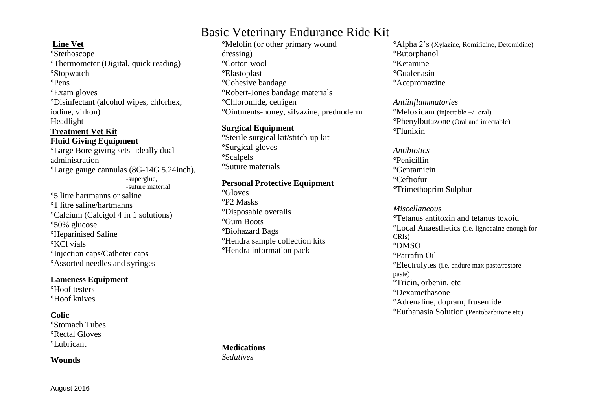# Basic Veterinary Endurance Ride Kit

### **Line Vet**

°Stethoscope °Thermometer (Digital, quick reading) °Stopwatch °Pens °Exam gloves °Disinfectant (alcohol wipes, chlorhex, iodine, virkon) Headlight **Treatment Vet Kit**

**Fluid Giving Equipment** °Large Bore giving sets- ideally dual administration °Large gauge cannulas (8G-14G 5.24inch), -superglue, -suture material °5 litre hartmanns or saline °1 litre saline/hartmanns °Calcium (Calcigol 4 in 1 solutions)

°50% glucose °Heparinised Saline °KCl vials °Injection caps/Catheter caps °Assorted needles and syringes

#### **Lameness Equipment**

°Hoof testers °Hoof knives

#### **Colic**

°Stomach Tubes °Rectal Gloves °Lubricant

**Wounds**

°Melolin (or other primary wound dressing) °Cotton wool °Elastoplast °Cohesive bandage °Robert-Jones bandage materials °Chloromide, cetrigen °Ointments-honey, silvazine, prednoderm

#### **Surgical Equipment**

°Sterile surgical kit/stitch-up kit °Surgical gloves °Scalpels °Suture materials

#### **Personal Protective Equipment**

°Gloves °P2 Masks °Disposable overalls °Gum Boots °Biohazard Bags °Hendra sample collection kits °Hendra information pack

°Alpha 2's (Xylazine, Romifidine, Detomidine) °Butorphanol °Ketamine °Guafenasin °Acepromazine

*Antiinflammatories* °Meloxicam (injectable +/- oral) °Phenylbutazone (Oral and injectable) °Flunixin

*Antibiotics* °Penicillin °Gentamicin °Ceftiofur °Trimethoprim Sulphur

*Miscellaneous* °Tetanus antitoxin and tetanus toxoid °Local Anaesthetics (i.e. lignocaine enough for CRIs) °DMSO °Parrafin Oil °Electrolytes (i.e. endure max paste/restore paste) °Tricin, orbenin, etc °Dexamethasone °Adrenaline, dopram, frusemide °Euthanasia Solution (Pentobarbitone etc)

**Medications** *Sedatives*